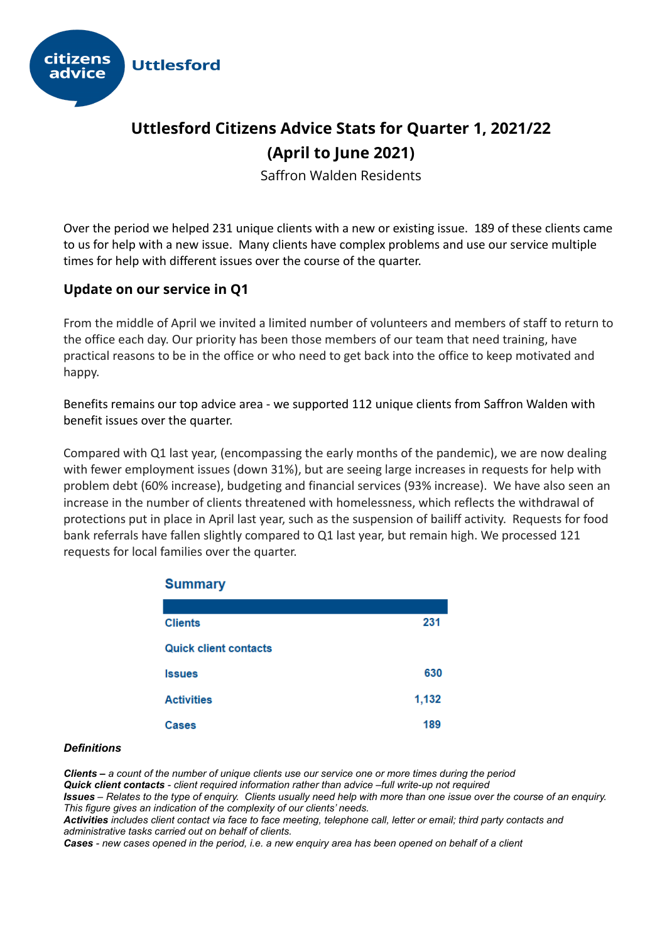

# **Uttlesford Citizens Advice Stats for Quarter 1, 2021/22 (April to June 2021)**

Saffron Walden Residents

Over the period we helped 231 unique clients with a new or existing issue. 189 of these clients came to us for help with a new issue. Many clients have complex problems and use our service multiple times for help with different issues over the course of the quarter.

### **Update on our service in Q1**

From the middle of April we invited a limited number of volunteers and members of staff to return to the office each day. Our priority has been those members of our team that need training, have practical reasons to be in the office or who need to get back into the office to keep motivated and happy.

Benefits remains our top advice area - we supported 112 unique clients from Saffron Walden with benefit issues over the quarter.

Compared with Q1 last year, (encompassing the early months of the pandemic), we are now dealing with fewer employment issues (down 31%), but are seeing large increases in requests for help with problem debt (60% increase), budgeting and financial services (93% increase). We have also seen an increase in the number of clients threatened with homelessness, which reflects the withdrawal of protections put in place in April last year, such as the suspension of bailiff activity. Requests for food bank referrals have fallen slightly compared to Q1 last year, but remain high. We processed 121 requests for local families over the quarter.

| Summary                      |       |  |
|------------------------------|-------|--|
|                              |       |  |
| <b>Clients</b>               | 231   |  |
| <b>Quick client contacts</b> |       |  |
| <b>Issues</b>                | 630   |  |
| <b>Activities</b>            | 1,132 |  |
| <b>Cases</b>                 | 189   |  |

### $0.0000000000$

#### *Definitions*

*Clients – a count of the number of unique clients use our service one or more times during the period Quick client contacts - client required information rather than advice –full write-up not required Issues – Relates to the type of enquiry. Clients usually need help with more than one issue over the course of an enquiry. This figure gives an indication of the complexity of our clients' needs. Activities includes client contact via face to face meeting, telephone call, letter or email; third party contacts and administrative tasks carried out on behalf of clients.*

*Cases - new cases opened in the period, i.e. a new enquiry area has been opened on behalf of a client*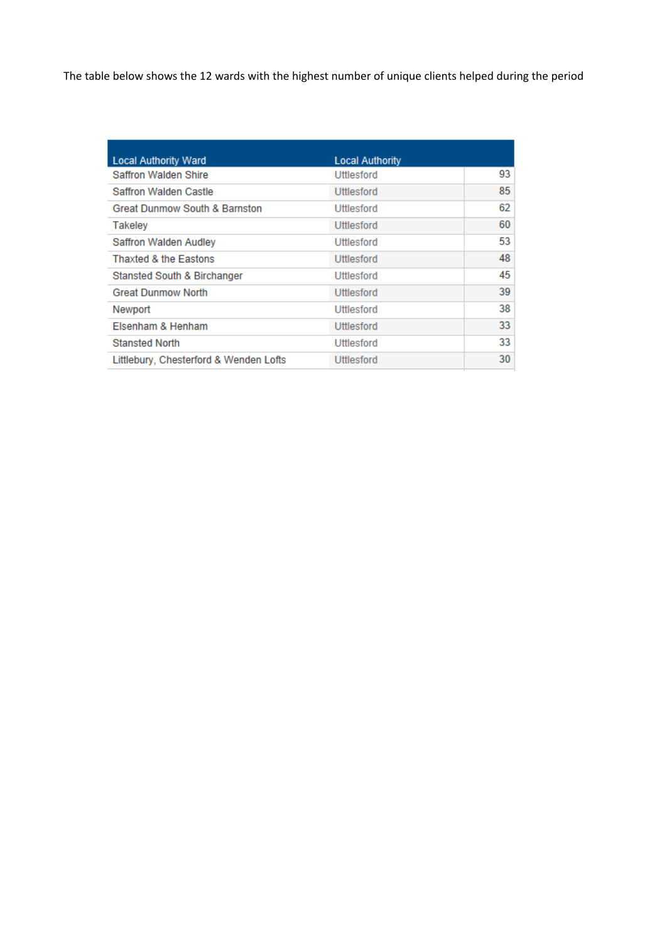The table below shows the 12 wards with the highest number of unique clients helped during the period

| <b>Local Authority Ward</b>              | <b>Local Authority</b> |    |
|------------------------------------------|------------------------|----|
| Saffron Walden Shire                     | Uttlesford             | 93 |
| Saffron Walden Castle                    | Uttlesford             | 85 |
| <b>Great Dunmow South &amp; Barnston</b> | Uttlesford             | 62 |
| <b>Takeley</b>                           | Uttlesford             | 60 |
| Saffron Walden Audley                    | Uttlesford             | 53 |
| <b>Thaxted &amp; the Eastons</b>         | Uttlesford             | 48 |
| Stansted South & Birchanger              | Uttlesford             | 45 |
| <b>Great Dunmow North</b>                | Uttlesford             | 39 |
| Newport                                  | Uttlesford             | 38 |
| Elsenham & Henham                        | Uttlesford             | 33 |
| <b>Stansted North</b>                    | Uttlesford             | 33 |
| Littlebury, Chesterford & Wenden Lofts   | Uttlesford             | 30 |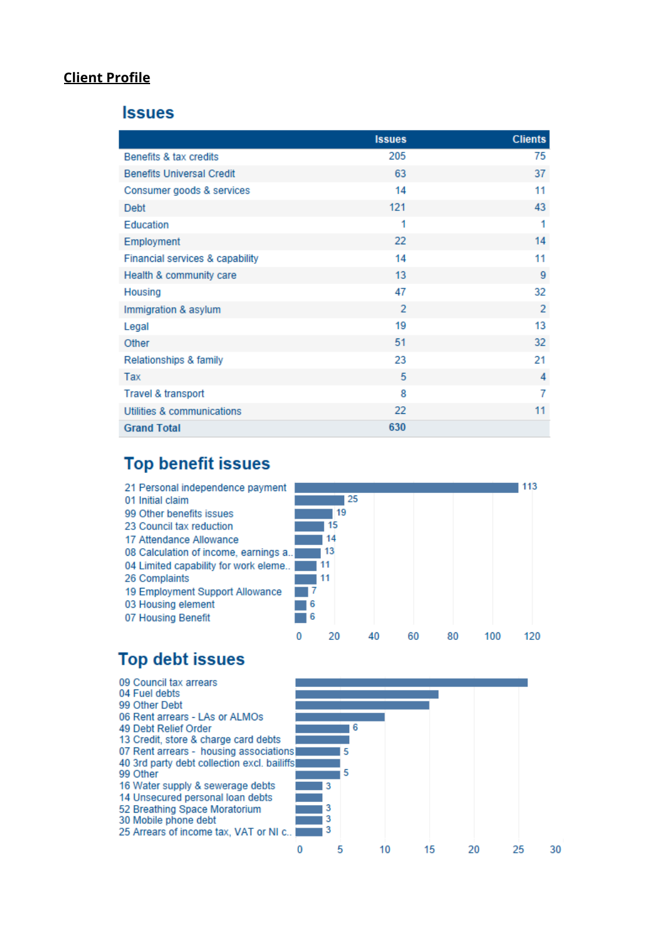### **Client Profile**

#### **Issues**

|                                  | <b>Issues</b>  | <b>Clients</b> |
|----------------------------------|----------------|----------------|
| Benefits & tax credits           | 205            | 75             |
| <b>Benefits Universal Credit</b> | 63             | 37             |
| Consumer goods & services        | 14             | 11             |
| <b>Debt</b>                      | 121            | 43             |
| Education                        | 1              | 1              |
| Employment                       | 22             | 14             |
| Financial services & capability  | 14             | 11             |
| Health & community care          | 13             | 9              |
| Housing                          | 47             | 32             |
| Immigration & asylum             | $\overline{2}$ | $\overline{2}$ |
| Legal                            | 19             | 13             |
| Other                            | 51             | 32             |
| Relationships & family           | 23             | 21             |
| Tax                              | 5              | 4              |
| Travel & transport               | 8              | 7              |
| Utilities & communications       | 22             | 11             |
| <b>Grand Total</b>               | 630            |                |

## **Top benefit issues**



# **Top debt issues**

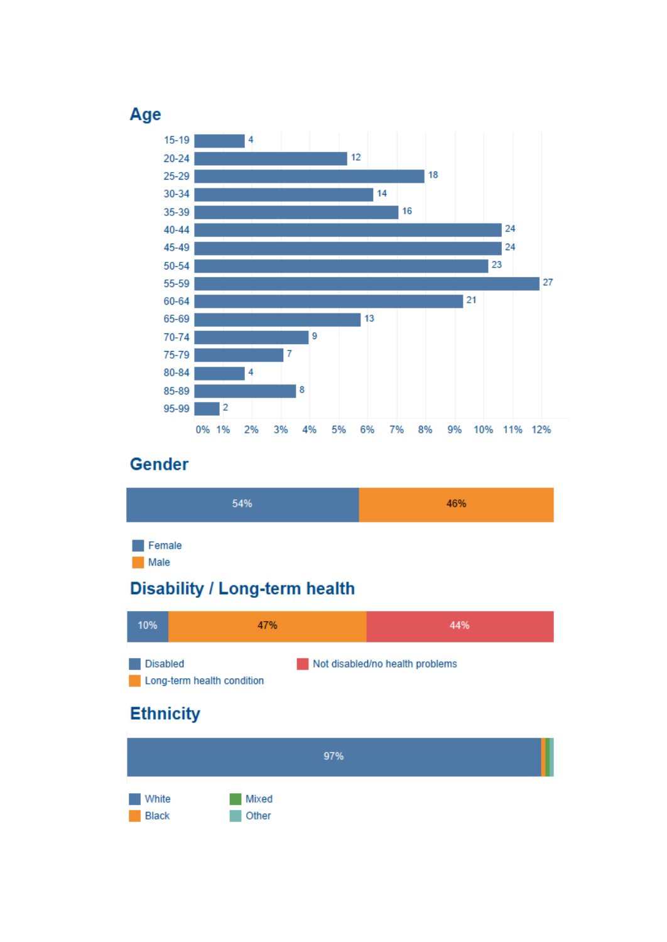

# **Gender**

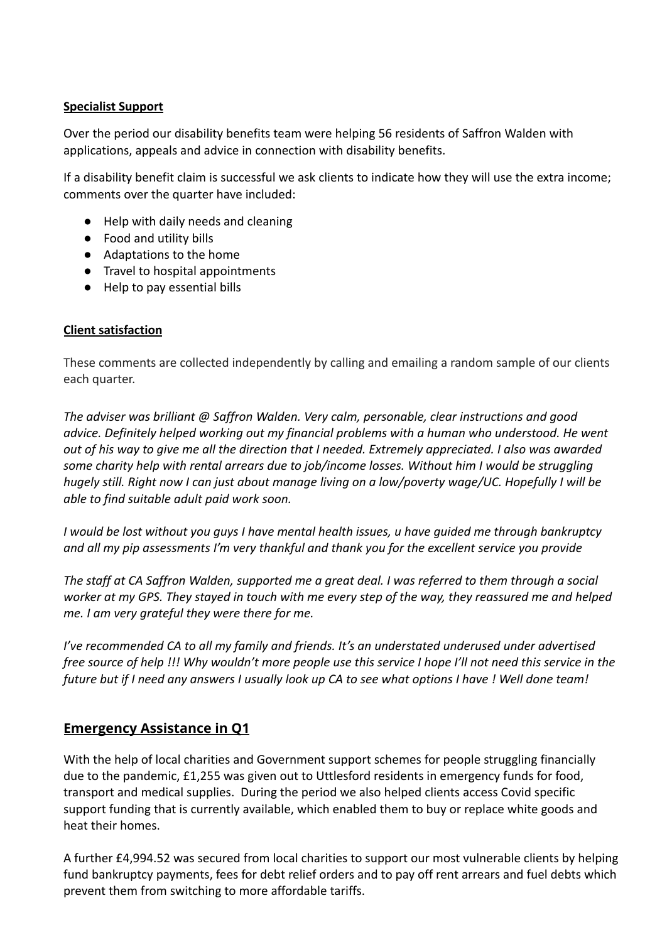### **Specialist Support**

Over the period our disability benefits team were helping 56 residents of Saffron Walden with applications, appeals and advice in connection with disability benefits.

If a disability benefit claim is successful we ask clients to indicate how they will use the extra income; comments over the quarter have included:

- Help with daily needs and cleaning
- Food and utility bills
- Adaptations to the home
- Travel to hospital appointments
- Help to pay essential bills

### **Client satisfaction**

These comments are collected independently by calling and emailing a random sample of our clients each quarter.

*The adviser was brilliant @ Saffron Walden. Very calm, personable, clear instructions and good advice. Definitely helped working out my financial problems with a human who understood. He went out of his way to give me all the direction that I needed. Extremely appreciated. I also was awarded some charity help with rental arrears due to job/income losses. Without him I would be struggling hugely still. Right now I can just about manage living on a low/poverty wage/UC. Hopefully I will be able to find suitable adult paid work soon.*

*I would be lost without you guys I have mental health issues, u have guided me through bankruptcy and all my pip assessments I'm very thankful and thank you for the excellent service you provide*

*The staff at CA Saffron Walden, supported me a great deal. I was referred to them through a social worker at my GPS. They stayed in touch with me every step of the way, they reassured me and helped me. I am very grateful they were there for me.*

*I've recommended CA to all my family and friends. It's an understated underused under advertised free source of help !!! Why wouldn't more people use this service I hope I'll not need this service in the future but if I need any answers I usually look up CA to see what options I have ! Well done team!*

### **Emergency Assistance in Q1**

With the help of local charities and Government support schemes for people struggling financially due to the pandemic, £1,255 was given out to Uttlesford residents in emergency funds for food, transport and medical supplies. During the period we also helped clients access Covid specific support funding that is currently available, which enabled them to buy or replace white goods and heat their homes.

A further £4,994.52 was secured from local charities to support our most vulnerable clients by helping fund bankruptcy payments, fees for debt relief orders and to pay off rent arrears and fuel debts which prevent them from switching to more affordable tariffs.